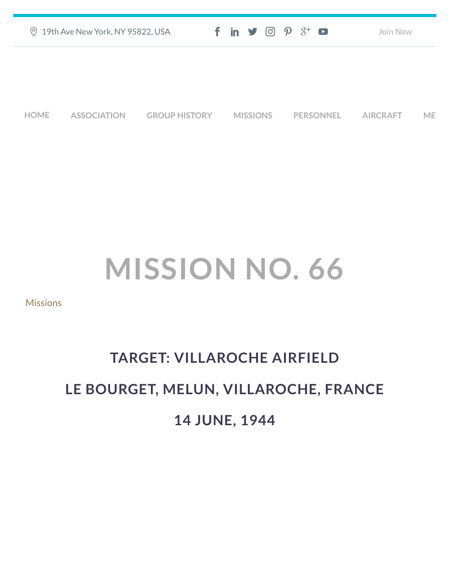| <b>9 19th Ave New York, NY 95822, USA</b> |                    |                      | $f$ in $\mathcal{I}$ $\odot$ $\mathcal{P}$ $\mathcal{S}^{\perp}$ $\bullet$ |                  | Join Now               |  |
|-------------------------------------------|--------------------|----------------------|----------------------------------------------------------------------------|------------------|------------------------|--|
|                                           |                    |                      |                                                                            |                  |                        |  |
|                                           |                    |                      |                                                                            |                  |                        |  |
| <b>HOME</b>                               | <b>ASSOCIATION</b> | <b>GROUP HISTORY</b> | <b>MISSIONS</b>                                                            | <b>PERSONNEL</b> | <b>AIRCRAFT</b><br>MEI |  |

## **MISSION NO. 66**

**[Missions](https://457thbombgroupassoc.org/category/missions/)** 

## **TARGET: VILLAROCHE AIRFIELD LE BOURGET, MELUN, VILLAROCHE, FRANCE 14 JUNE, 1944**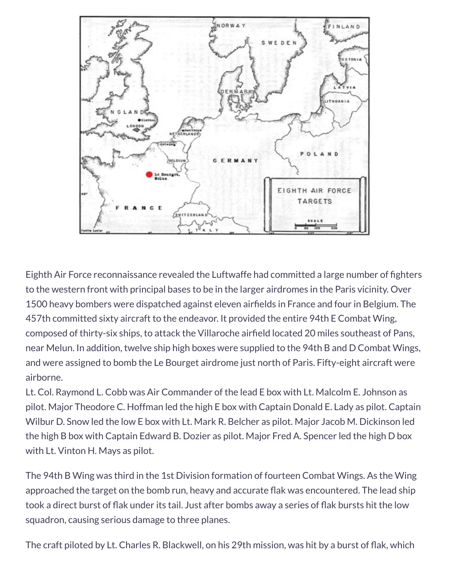

Eighth Air Force reconnaissance revealed the Luftwaffe had committed a large number of fighters to the western front with principal bases to be in the larger airdromes in the Paris vicinity. Over 1500 heavy bombers were dispatched against eleven airfields in France and four in Belgium. The 457th committed sixty aircraft to the endeavor. It provided the entire 94th E Combat Wing, composed of thirty-six ships, to attack the Villaroche airfield located 20 miles southeast of Pans, near Melun. In addition, twelve ship high boxes were supplied to the 94th B and D Combat Wings, and were assigned to bomb the Le Bourget airdrome just north of Paris. Fifty-eight aircraft were airborne.

Lt. Col. Raymond L. Cobb was Air Commander of the lead E box with Lt. Malcolm E. Johnson as pilot. Major Theodore C. Hoffman led the high E box with Captain Donald E. Lady as pilot. Captain Wilbur D. Snow led the low E box with Lt. Mark R. Belcher as pilot. Major Jacob M. Dickinson led the high B box with Captain Edward B. Dozier as pilot. Major Fred A. Spencer led the high D box with Lt. Vinton H. Mays as pilot.

The 94th B Wing was third in the 1st Division formation of fourteen Combat Wings. As the Wing approached the target on the bomb run, heavy and accurate flak was encountered. The lead ship took a direct burst of flak under its tail. Just after bombs away a series of flak bursts hit the low squadron, causing serious damage to three planes.

The craft piloted by Lt. Charles R. Blackwell, on his 29th mission, was hit by a burst of flak, which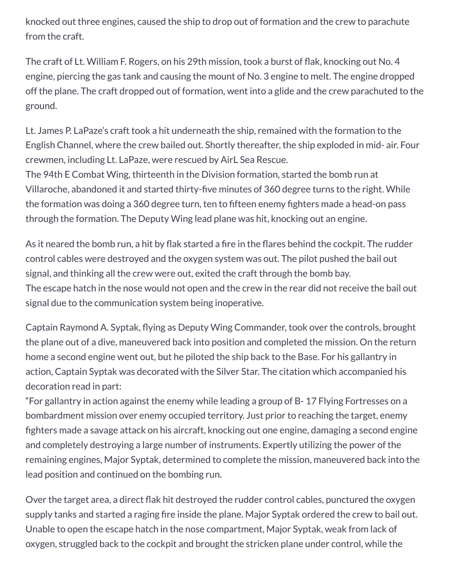knocked out three engines, caused the ship to drop out of formation and the crew to parachute from the craft.

The craft of Lt. William F. Rogers, on his 29th mission, took a burst of flak, knocking out No. 4 engine, piercing the gas tank and causing the mount of No. 3 engine to melt. The engine dropped off the plane. The craft dropped out of formation, went into a glide and the crew parachuted to the ground.

Lt. James P. LaPaze's craft took a hit underneath the ship, remained with the formation to the English Channel, where the crew bailed out. Shortly thereafter, the ship exploded in mid- air. Four crewmen, including Lt. LaPaze, were rescued by AirL Sea Rescue.

The 94th E Combat Wing, thirteenth in the Division formation, started the bomb run at Villaroche, abandoned it and started thirty-five minutes of 360 degree turns to the right. While the formation was doing a 360 degree turn, ten to fifteen enemy fighters made a head-on pass through the formation. The Deputy Wing lead plane was hit, knocking out an engine.

As it neared the bomb run, a hit by flak started a fire in the flares behind the cockpit. The rudder control cables were destroyed and the oxygen system was out. The pilot pushed the bail out signal, and thinking all the crew were out, exited the craft through the bomb bay. The escape hatch in the nose would not open and the crew in the rear did not receive the bail out signal due to the communication system being inoperative.

Captain Raymond A. Syptak, flying as Deputy Wing Commander, took over the controls, brought the plane out of a dive, maneuvered back into position and completed the mission. On the return home a second engine went out, but he piloted the ship back to the Base. For his gallantry in action, Captain Syptak was decorated with the Silver Star. The citation which accompanied his decoration read in part:

"For gallantry in action against the enemy while leading a group of B- 17 Flying Fortresses on a bombardment mission over enemy occupied territory. Just prior to reaching the target, enemy fighters made a savage attack on his aircraft, knocking out one engine, damaging a second engine and completely destroying a large number of instruments. Expertly utilizing the power of the remaining engines, Major Syptak, determined to complete the mission, maneuvered back into the lead position and continued on the bombing run.

Over the target area, a direct flak hit destroyed the rudder control cables, punctured the oxygen supply tanks and started a raging fire inside the plane. Major Syptak ordered the crew to bail out. Unable to open the escape hatch in the nose compartment, Major Syptak, weak from lack of oxygen, struggled back to the cockpit and brought the stricken plane under control, while the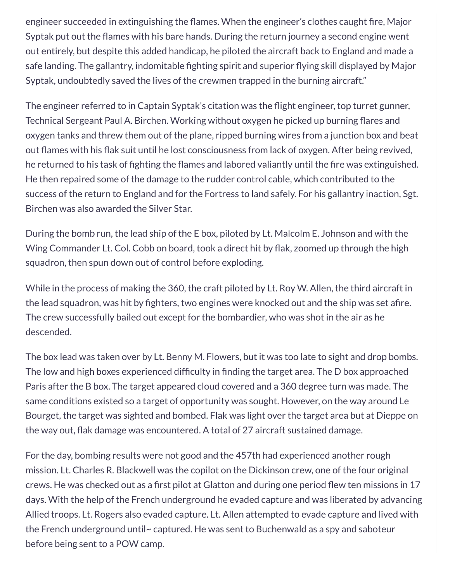engineer succeeded in extinguishing the flames. When the engineer's clothes caught fire, Major Syptak put out the flames with his bare hands. During the return journey a second engine went out entirely, but despite this added handicap, he piloted the aircraft back to England and made a safe landing. The gallantry, indomitable fighting spirit and superior flying skill displayed by Major Syptak, undoubtedly saved the lives of the crewmen trapped in the burning aircraft."

The engineer referred to in Captain Syptak's citation was the flight engineer, top turret gunner, Technical Sergeant Paul A. Birchen. Working without oxygen he picked up burning flares and oxygen tanks and threw them out of the plane, ripped burning wires from a junction box and beat out flames with his flak suit until he lost consciousness from lack of oxygen. After being revived, he returned to his task of fighting the flames and labored valiantly until the fire was extinguished. He then repaired some of the damage to the rudder control cable, which contributed to the success of the return to England and for the Fortress to land safely. For his gallantry inaction, Sgt. Birchen was also awarded the Silver Star.

During the bomb run, the lead ship of the E box, piloted by Lt. Malcolm E. Johnson and with the Wing Commander Lt. Col. Cobb on board, took a direct hit by flak, zoomed up through the high squadron, then spun down out of control before exploding.

While in the process of making the 360, the craft piloted by Lt. Roy W. Allen, the third aircraft in the lead squadron, was hit by fighters, two engines were knocked out and the ship was set afire. The crew successfully bailed out except for the bombardier, who was shot in the air as he descended.

The box lead was taken over by Lt. Benny M. Flowers, but it was too late to sight and drop bombs. The low and high boxes experienced difficulty in finding the target area. The D box approached Paris after the B box. The target appeared cloud covered and a 360 degree turn was made. The same conditions existed so a target of opportunity was sought. However, on the way around Le Bourget, the target was sighted and bombed. Flak was light over the target area but at Dieppe on the way out, flak damage was encountered. A total of 27 aircraft sustained damage.

For the day, bombing results were not good and the 457th had experienced another rough mission. Lt. Charles R. Blackwell was the copilot on the Dickinson crew, one of the four original crews. He was checked out as a first pilot at Glatton and during one period flew ten missions in 17 days. With the help of the French underground he evaded capture and was liberated by advancing Allied troops. Lt. Rogers also evaded capture. Lt. Allen attempted to evade capture and lived with the French underground until~ captured. He was sent to Buchenwald as a spy and saboteur before being sent to a POW camp.